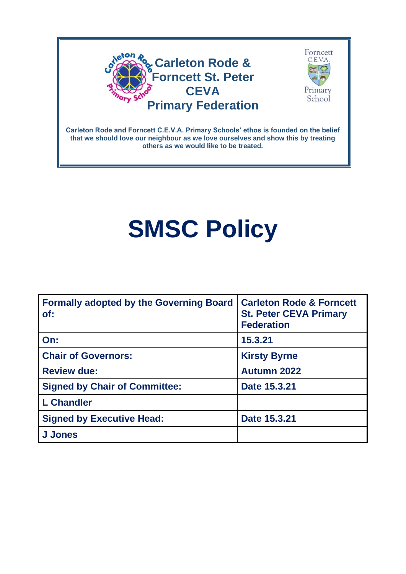



**Carleton Rode and Forncett C.E.V.A. Primary Schools' ethos is founded on the belief that we should love our neighbour as we love ourselves and show this by treating others as we would like to be treated.**

# **SMSC Policy**

| <b>Formally adopted by the Governing Board</b><br>of: | <b>Carleton Rode &amp; Forncett</b><br><b>St. Peter CEVA Primary</b><br><b>Federation</b> |
|-------------------------------------------------------|-------------------------------------------------------------------------------------------|
| On:                                                   | 15.3.21                                                                                   |
| <b>Chair of Governors:</b>                            | <b>Kirsty Byrne</b>                                                                       |
| <b>Review due:</b>                                    | <b>Autumn 2022</b>                                                                        |
| <b>Signed by Chair of Committee:</b>                  | Date 15.3.21                                                                              |
| <b>L</b> Chandler                                     |                                                                                           |
| <b>Signed by Executive Head:</b>                      | Date 15.3.21                                                                              |
| <b>J</b> Jones                                        |                                                                                           |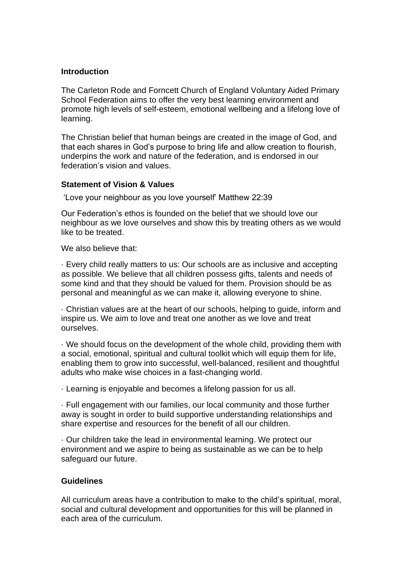#### **Introduction**

The Carleton Rode and Forncett Church of England Voluntary Aided Primary School Federation aims to offer the very best learning environment and promote high levels of self-esteem, emotional wellbeing and a lifelong love of learning.

The Christian belief that human beings are created in the image of God, and that each shares in God's purpose to bring life and allow creation to flourish, underpins the work and nature of the federation, and is endorsed in our federation's vision and values.

#### **Statement of Vision & Values**

'Love your neighbour as you love yourself' Matthew 22:39

Our Federation's ethos is founded on the belief that we should love our neighbour as we love ourselves and show this by treating others as we would like to be treated.

We also believe that:

· Every child really matters to us: Our schools are as inclusive and accepting as possible. We believe that all children possess gifts, talents and needs of some kind and that they should be valued for them. Provision should be as personal and meaningful as we can make it, allowing everyone to shine.

· Christian values are at the heart of our schools, helping to guide, inform and inspire us. We aim to love and treat one another as we love and treat ourselves.

· We should focus on the development of the whole child, providing them with a social, emotional, spiritual and cultural toolkit which will equip them for life, enabling them to grow into successful, well-balanced, resilient and thoughtful adults who make wise choices in a fast-changing world.

· Learning is enjoyable and becomes a lifelong passion for us all.

· Full engagement with our families, our local community and those further away is sought in order to build supportive understanding relationships and share expertise and resources for the benefit of all our children.

· Our children take the lead in environmental learning. We protect our environment and we aspire to being as sustainable as we can be to help safeguard our future.

#### **Guidelines**

All curriculum areas have a contribution to make to the child's spiritual, moral, social and cultural development and opportunities for this will be planned in each area of the curriculum.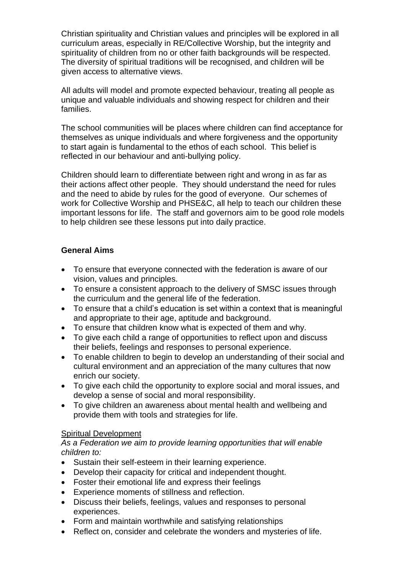Christian spirituality and Christian values and principles will be explored in all curriculum areas, especially in RE/Collective Worship, but the integrity and spirituality of children from no or other faith backgrounds will be respected. The diversity of spiritual traditions will be recognised, and children will be given access to alternative views.

All adults will model and promote expected behaviour, treating all people as unique and valuable individuals and showing respect for children and their families.

The school communities will be places where children can find acceptance for themselves as unique individuals and where forgiveness and the opportunity to start again is fundamental to the ethos of each school. This belief is reflected in our behaviour and anti-bullying policy.

Children should learn to differentiate between right and wrong in as far as their actions affect other people. They should understand the need for rules and the need to abide by rules for the good of everyone. Our schemes of work for Collective Worship and PHSE&C, all help to teach our children these important lessons for life. The staff and governors aim to be good role models to help children see these lessons put into daily practice.

## **General Aims**

- To ensure that everyone connected with the federation is aware of our vision, values and principles.
- To ensure a consistent approach to the delivery of SMSC issues through the curriculum and the general life of the federation.
- To ensure that a child's education is set within a context that is meaningful and appropriate to their age, aptitude and background.
- To ensure that children know what is expected of them and why.
- To give each child a range of opportunities to reflect upon and discuss their beliefs, feelings and responses to personal experience.
- To enable children to begin to develop an understanding of their social and cultural environment and an appreciation of the many cultures that now enrich our society.
- To give each child the opportunity to explore social and moral issues, and develop a sense of social and moral responsibility.
- To give children an awareness about mental health and wellbeing and provide them with tools and strategies for life.

## Spiritual Development

#### *As a Federation we aim to provide learning opportunities that will enable children to:*

- Sustain their self-esteem in their learning experience.
- Develop their capacity for critical and independent thought.
- Foster their emotional life and express their feelings
- Experience moments of stillness and reflection.
- Discuss their beliefs, feelings, values and responses to personal experiences.
- Form and maintain worthwhile and satisfying relationships
- Reflect on, consider and celebrate the wonders and mysteries of life.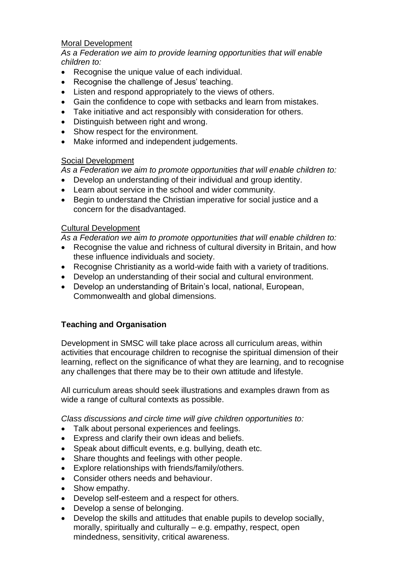#### Moral Development

*As a Federation we aim to provide learning opportunities that will enable children to:*

- Recognise the unique value of each individual.
- Recognise the challenge of Jesus' teaching.
- Listen and respond appropriately to the views of others.
- Gain the confidence to cope with setbacks and learn from mistakes.
- Take initiative and act responsibly with consideration for others.
- Distinguish between right and wrong.
- Show respect for the environment.
- Make informed and independent judgements.

## Social Development

*As a Federation we aim to promote opportunities that will enable children to:*

- Develop an understanding of their individual and group identity.
- Learn about service in the school and wider community.
- Begin to understand the Christian imperative for social justice and a concern for the disadvantaged.

## Cultural Development

*As a Federation we aim to promote opportunities that will enable children to:*

- Recognise the value and richness of cultural diversity in Britain, and how these influence individuals and society.
- Recognise Christianity as a world-wide faith with a variety of traditions.
- Develop an understanding of their social and cultural environment.
- Develop an understanding of Britain's local, national, European, Commonwealth and global dimensions.

# **Teaching and Organisation**

Development in SMSC will take place across all curriculum areas, within activities that encourage children to recognise the spiritual dimension of their learning, reflect on the significance of what they are learning, and to recognise any challenges that there may be to their own attitude and lifestyle.

All curriculum areas should seek illustrations and examples drawn from as wide a range of cultural contexts as possible.

*Class discussions and circle time will give children opportunities to:*

- Talk about personal experiences and feelings.
- Express and clarify their own ideas and beliefs.
- Speak about difficult events, e.g. bullying, death etc.
- Share thoughts and feelings with other people.
- Explore relationships with friends/family/others.
- Consider others needs and behaviour.
- Show empathy.
- Develop self-esteem and a respect for others.
- Develop a sense of belonging.
- Develop the skills and attitudes that enable pupils to develop socially, morally, spiritually and culturally – e.g. empathy, respect, open mindedness, sensitivity, critical awareness.